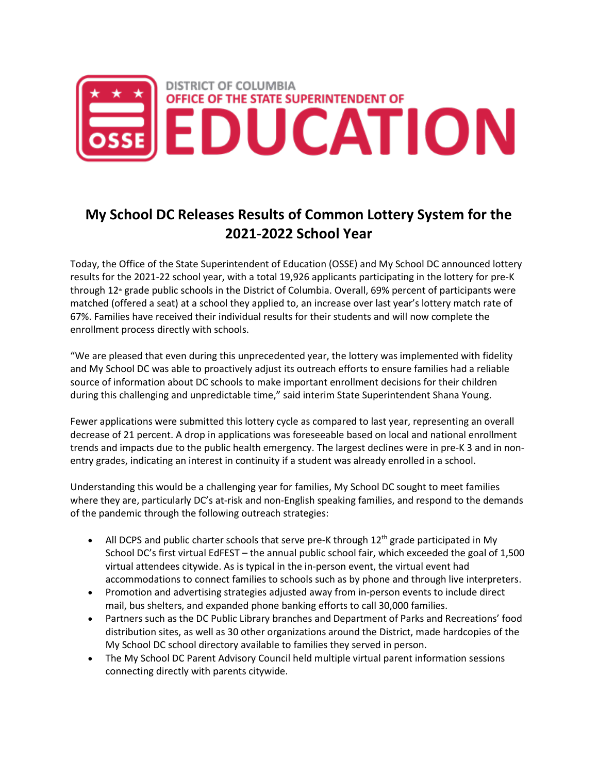## **DISTRICT OF COLUMBIA** OFFICE OF THE STATE SUPERINTENDENT OF EDUCATION

## **My School DC Releases Results of Common Lottery System for the 2021-2022 School Year**

Today, the Office of the State Superintendent of Education (OSSE) and My School DC announced lottery results for the 2021-22 school year, with a total 19,926 applicants participating in the lottery for pre-K through 12<sup>th</sup> grade public schools in the District of Columbia. Overall, 69% percent of participants were matched (offered a seat) at a school they applied to, an increase over last year's lottery match rate of 67%. Families have received their individual results for their students and will now complete the enrollment process directly with schools.

"We are pleased that even during this unprecedented year, the lottery was implemented with fidelity and My School DC was able to proactively adjust its outreach efforts to ensure families had a reliable source of information about DC schools to make important enrollment decisions for their children during this challenging and unpredictable time," said interim State Superintendent Shana Young.

Fewer applications were submitted this lottery cycle as compared to last year, representing an overall decrease of 21 percent. A drop in applications was foreseeable based on local and national enrollment trends and impacts due to the public health emergency. The largest declines were in pre-K 3 and in nonentry grades, indicating an interest in continuity if a student was already enrolled in a school.

Understanding this would be a challenging year for families, My School DC sought to meet families where they are, particularly DC's at-risk and non-English speaking families, and respond to the demands of the pandemic through the following outreach strategies:

- All DCPS and public charter schools that serve pre-K through  $12<sup>th</sup>$  grade participated in My School DC's first virtual EdFEST – the annual public school fair, which exceeded the goal of 1,500 virtual attendees citywide. As is typical in the in-person event, the virtual event had accommodations to connect families to schools such as by phone and through live interpreters.
- Promotion and advertising strategies adjusted away from in-person events to include direct mail, bus shelters, and expanded phone banking efforts to call 30,000 families.
- Partners such as the DC Public Library branches and Department of Parks and Recreations' food distribution sites, as well as 30 other organizations around the District, made hardcopies of the My School DC school directory available to families they served in person.
- The My School DC Parent Advisory Council held multiple virtual parent information sessions connecting directly with parents citywide.